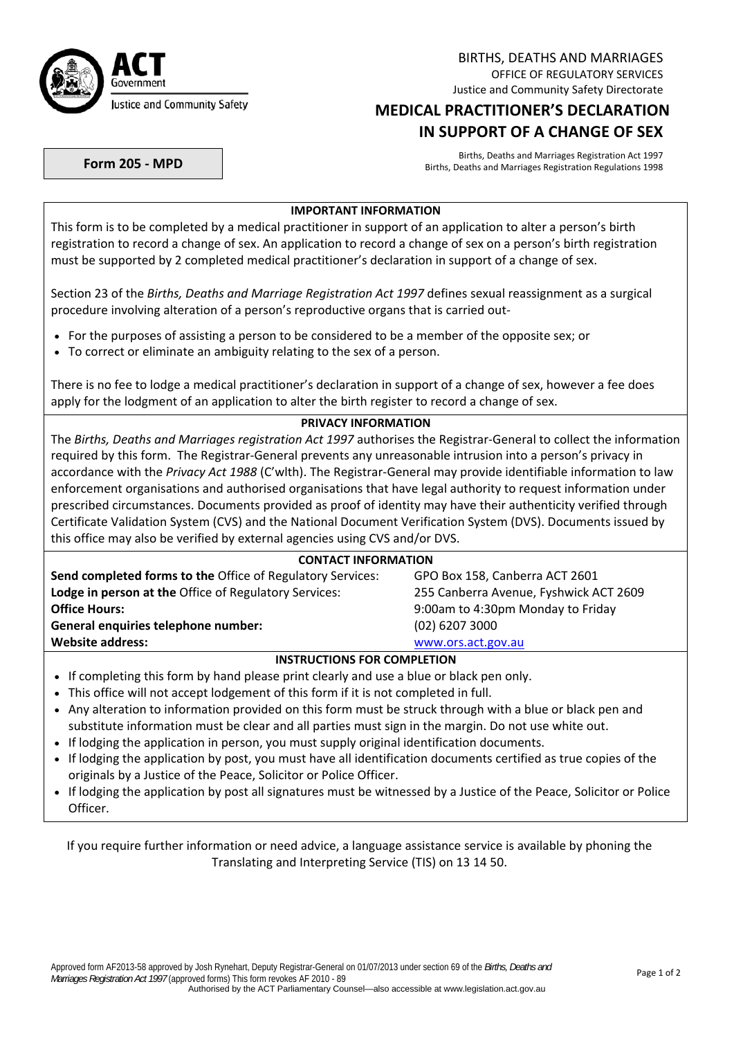

BIRTHS, DEATHS AND MARRIAGES OFFICE OF REGULATORY SERVICES Justice and Community Safety Directorate

# **MEDICAL PRACTITIONER'S DECLARATION IN SUPPORT OF A CHANGE OF SEX**

Births, Deaths and Marriages Registration Act 1997<br>Births, Deaths and Marriages Registration Regulations 1998<br>Births, Deaths and Marriages Registration Regulations 1998

### **IMPORTANT INFORMATION**

This form is to be completed by a medical practitioner in support of an application to alter a person's birth registration to record a change of sex. An application to record a change of sex on a person's birth registration must be supported by 2 completed medical practitioner's declaration in support of a change of sex.

Section 23 of the *Births, Deaths and Marriage Registration Act 1997* defines sexual reassignment as a surgical procedure involving alteration of a person's reproductive organs that is carried out‐

- For the purposes of assisting a person to be considered to be a member of the opposite sex; or
- To correct or eliminate an ambiguity relating to the sex of a person.

There is no fee to lodge a medical practitioner's declaration in support of a change of sex, however a fee does apply for the lodgment of an application to alter the birth register to record a change of sex.

#### **PRIVACY INFORMATION**

The *Births, Deaths and Marriages registration Act 1997* authorises the Registrar‐General to collect the information required by this form. The Registrar‐General prevents any unreasonable intrusion into a person's privacy in accordance with the *Privacy Act 1988* (C'wlth). The Registrar‐General may provide identifiable information to law enforcement organisations and authorised organisations that have legal authority to request information under prescribed circumstances. Documents provided as proof of identity may have their authenticity verified through Certificate Validation System (CVS) and the National Document Verification System (DVS). Documents issued by this office may also be verified by external agencies using CVS and/or DVS.

### **CONTACT INFORMATION**

| Send completed forms to the Office of Regulatory Services: | GPO Box 158, Canberra ACT 2601         |  |  |
|------------------------------------------------------------|----------------------------------------|--|--|
| Lodge in person at the Office of Regulatory Services:      | 255 Canberra Avenue, Fyshwick ACT 2609 |  |  |
| <b>Office Hours:</b>                                       | 9:00am to 4:30pm Monday to Friday      |  |  |
| General enquiries telephone number:                        | $(02)$ 6207 3000                       |  |  |
| <b>Website address:</b>                                    | www.ors.act.gov.au                     |  |  |
| $\mathbf{R}$                                               |                                        |  |  |

#### **INSTRUCTIONS FOR COMPLETION**

- If completing this form by hand please print clearly and use a blue or black pen only.
- This office will not accept lodgement of this form if it is not completed in full.
- Any alteration to information provided on this form must be struck through with a blue or black pen and substitute information must be clear and all parties must sign in the margin. Do not use white out.
- If lodging the application in person, you must supply original identification documents.
- If lodging the application by post, you must have all identification documents certified as true copies of the originals by a Justice of the Peace, Solicitor or Police Officer.
- If lodging the application by post all signatures must be witnessed by a Justice of the Peace, Solicitor or Police Officer.

If you require further information or need advice, a language assistance service is available by phoning the Translating and Interpreting Service (TIS) on 13 14 50.